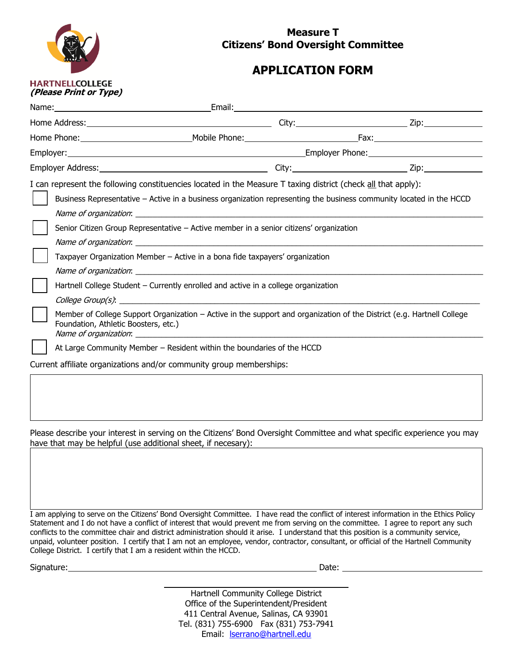

## **Measure T Citizens' Bond Oversight Committee**

## **APPLICATION FORM**

|                                                                        | I can represent the following constituencies located in the Measure T taxing district (check all that apply):<br>Business Representative - Active in a business organization representing the business community located in the HCCD                 |  |  |  |  |
|------------------------------------------------------------------------|------------------------------------------------------------------------------------------------------------------------------------------------------------------------------------------------------------------------------------------------------|--|--|--|--|
|                                                                        | Senior Citizen Group Representative - Active member in a senior citizens' organization                                                                                                                                                               |  |  |  |  |
|                                                                        | Taxpayer Organization Member - Active in a bona fide taxpayers' organization                                                                                                                                                                         |  |  |  |  |
|                                                                        | Hartnell College Student - Currently enrolled and active in a college organization<br>Member of College Support Organization – Active in the support and organization of the District (e.g. Hartnell College<br>Foundation, Athletic Boosters, etc.) |  |  |  |  |
|                                                                        |                                                                                                                                                                                                                                                      |  |  |  |  |
| At Large Community Member - Resident within the boundaries of the HCCD |                                                                                                                                                                                                                                                      |  |  |  |  |
| Current affiliate organizations and/or community group memberships:    |                                                                                                                                                                                                                                                      |  |  |  |  |
|                                                                        |                                                                                                                                                                                                                                                      |  |  |  |  |

Please describe your interest in serving on the Citizens' Bond Oversight Committee and what specific experience you may have that may be helpful (use additional sheet, if necesary):

I am applying to serve on the Citizens' Bond Oversight Committee. I have read the conflict of interest information in the Ethics Policy Statement and I do not have a conflict of interest that would prevent me from serving on the committee. I agree to report any such conflicts to the committee chair and district administration should it arise. I understand that this position is a community service, unpaid, volunteer position. I certify that I am not an employee, vendor, contractor, consultant, or official of the Hartnell Community College District. I certify that I am a resident within the HCCD.

Signature: Date: Date: Date: Date: Date: Date: Date: Date: Date: Date: Date: Date: Date: Date: Date: Date: Date: Date: Date: Date: Date: Date: Date: Date: Date: Date: Date: Date: Date: Date: Date: Date: Date: Date: Date: D

Hartnell Community College District Office of the Superintendent/President 411 Central Avenue, Salinas, CA 93901 Tel. (831) 755-6900 Fax (831) 753-7941 Email: **Iserrano@hartnell.edu**